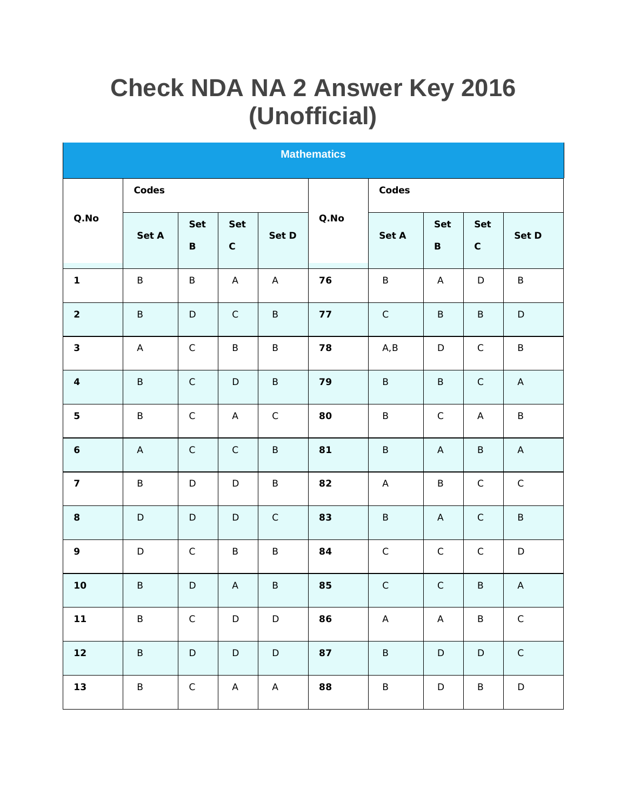## **Check NDA NA 2 Answer Key 2016** (Unofficial)

| <b>Mathematics</b> |             |                |                           |             |                  |             |                |                           |                           |  |  |  |
|--------------------|-------------|----------------|---------------------------|-------------|------------------|-------------|----------------|---------------------------|---------------------------|--|--|--|
|                    | Codes       |                |                           |             |                  | Codes       |                |                           |                           |  |  |  |
| $Q. \mathsf{No}$   | Set A       | Set<br>$\sf B$ | Set<br>$\mathsf C$        | Set D       | $Q. \mathsf{No}$ | Set A       | Set<br>$\sf B$ | Set<br>$\mathsf C$        | Set D                     |  |  |  |
| $\mathbf{1}$       | $\sf B$     | $\sf B$        | $\boldsymbol{\mathsf{A}}$ | $\mathsf A$ | 76               | $\sf B$     | A              | $\mathsf D$               | $\sf B$                   |  |  |  |
| $\overline{2}$     | $\sf B$     | $\mathsf D$    | $\mathsf C$               | $\sf B$     | 77               | $\mathsf C$ | $\sf B$        | $\sf B$                   | $\mathsf D$               |  |  |  |
| $\mathfrak{S}$     | $\mathsf A$ | $\mathsf C$    | $\sf B$                   | $\sf B$     | 78               | A, B        | $\mathsf D$    | $\mathsf C$               | $\sf B$                   |  |  |  |
| $\overline{4}$     | $\mathsf B$ | $\mathsf C$    | $\mathsf D$               | $\mathsf B$ | 79               | $\sf B$     | $\sf B$        | $\mathsf C$               | $\boldsymbol{\mathsf{A}}$ |  |  |  |
| $\mathbf 5$        | $\sf B$     | $\mathsf C$    | A                         | $\mathsf C$ | 80               | $\sf B$     | $\mathsf C$    | $\boldsymbol{\mathsf{A}}$ | $\sf B$                   |  |  |  |
| $\epsilon$         | $\mathsf A$ | $\mathsf C$    | $\mathsf C$               | $\sf B$     | 81               | $\sf B$     | $\mathsf A$    | $\sf B$                   | $\mathsf A$               |  |  |  |
| $\overline{7}$     | $\sf B$     | $\mathsf D$    | $\mathsf D$               | $\sf B$     | 82               | A           | $\sf B$        | $\mathsf C$               | $\mathsf C$               |  |  |  |
| $\,8\,$            | $\mathsf D$ | $\mathsf D$    | $\mathsf D$               | $\mathsf C$ | 83               | $\sf B$     | $\mathsf A$    | $\mathsf C$               | $\sf B$                   |  |  |  |
| 9                  | $\mathsf D$ | $\mathsf C$    | $\sf B$                   | $\sf B$     | 84               | $\mathsf C$ | $\mathsf C$    | $\mathsf C$               | $\mathsf D$               |  |  |  |
| 10                 | $\sf B$     | $\mathsf D$    | $\mathsf{A}$              | $\sf B$     | 85               | $\mathsf C$ | $\mathsf C$    | $\sf B$                   | $\boldsymbol{\mathsf{A}}$ |  |  |  |
| $11$               | $\sf B$     | $\mathsf C$    | $\mathsf D$               | $\mathsf D$ | 86               | $\mathsf A$ | $\mathsf A$    | $\sf B$                   | $\mathsf C$               |  |  |  |
| $12$               | $\sf B$     | $\mathsf D$    | $\mathsf D$               | $\mathsf D$ | 87               | $\sf B$     | $\mathsf D$    | $\mathsf D$               | $\mathsf C$               |  |  |  |
| 13                 | $\sf B$     | $\mathsf C$    | $\mathsf A$               | $\mathsf A$ | 88               | $\sf B$     | $\mathsf D$    | $\sf B$                   | $\mathsf D$               |  |  |  |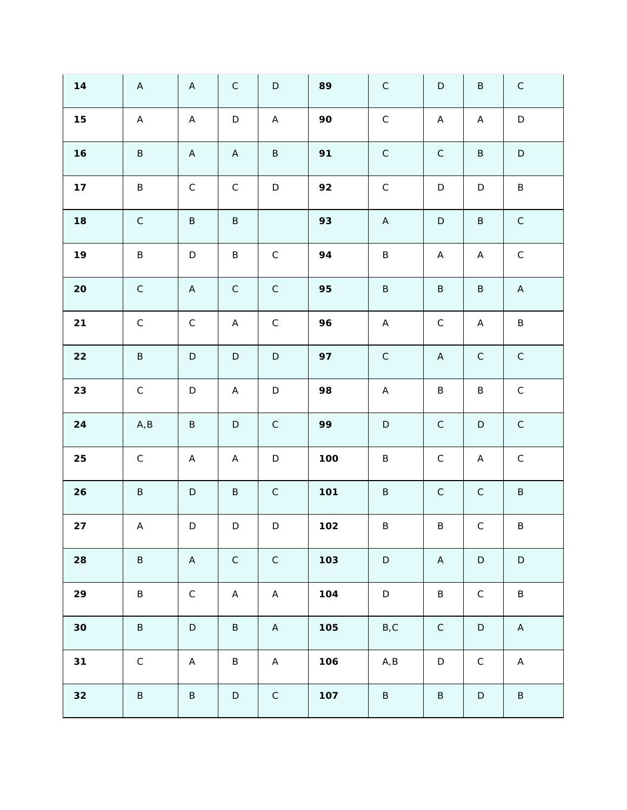| 14     | $\mathsf A$ | $\mathsf A$               | $\mathsf C$  | $\mathsf D$ | 89  | $\mathsf C$               | $\mathsf D$               | $\sf B$      | $\mathsf C$ |
|--------|-------------|---------------------------|--------------|-------------|-----|---------------------------|---------------------------|--------------|-------------|
| $15$   | $\mathsf A$ | $\mathsf{A}$              | $\mathsf D$  | $\mathsf A$ | 90  | $\mathsf C$               | $\mathsf A$               | $\mathsf{A}$ | $\mathsf D$ |
| 16     | $\sf B$     | $\mathsf{A}$              | $\mathsf{A}$ | $\sf B$     | 91  | $\mathsf C$               | $\mathsf C$               | $\sf B$      | $\mathsf D$ |
| 17     | $\sf B$     | $\mathsf C$               | $\mathsf C$  | $\mathsf D$ | 92  | $\mathsf C$               | $\mathsf D$               | $\mathsf D$  | $\sf B$     |
| 18     | $\mathsf C$ | $\sf B$                   | $\sf B$      |             | 93  | $\boldsymbol{\mathsf{A}}$ | $\mathsf D$               | $\sf B$      | $\mathsf C$ |
| 19     | $\sf B$     | $\mathsf D$               | $\sf B$      | $\mathsf C$ | 94  | $\sf B$                   | $\boldsymbol{\mathsf{A}}$ | $\mathsf A$  | $\mathsf C$ |
| $20\,$ | $\mathsf C$ | $\mathsf{A}$              | $\mathsf C$  | $\mathsf C$ | 95  | $\sf B$                   | $\sf B$                   | $\sf B$      | $\mathsf A$ |
| 21     | $\mathsf C$ | $\mathsf C$               | $\mathsf A$  | $\mathsf C$ | 96  | $\mathsf A$               | $\mathsf C$               | A            | $\sf B$     |
| 22     | $\sf B$     | $\mathsf D$               | $\mathsf D$  | $\mathsf D$ | 97  | $\mathsf C$               | $\boldsymbol{\mathsf{A}}$ | $\mathsf C$  | $\mathsf C$ |
| 23     | $\mathsf C$ | $\mathsf D$               | $\mathsf A$  | $\mathsf D$ | 98  | $\mathsf A$               | $\sf B$                   | $\sf B$      | $\mathsf C$ |
| 24     | A, B        | $\sf B$                   | $\mathsf D$  | $\mathsf C$ | 99  | $\mathsf D$               | $\mathsf C$               | $\mathsf D$  | $\mathsf C$ |
| 25     | $\mathsf C$ | $\boldsymbol{\mathsf{A}}$ | A            | $\mathsf D$ | 100 | $\sf B$                   | $\mathsf C$               | A            | $\mathsf C$ |
| 26     | $\sf B$     | $\mathsf D$               | $\sf B$      | $\mathsf C$ | 101 | $\sf B$                   | $\mathsf C$               | $\mathsf C$  | $\sf B$     |
| 27     | $\mathsf A$ | $\mathsf D$               | $\mathsf D$  | $\mathsf D$ | 102 | $\sf B$                   | $\sf B$                   | $\mathsf C$  | $\sf B$     |
| 28     | $\sf B$     | $\boldsymbol{\mathsf{A}}$ | $\mathsf C$  | $\mathsf C$ | 103 | $\mathsf D$               | $\mathsf A$               | $\mathsf D$  | $\mathsf D$ |
| 29     | $\sf B$     | $\mathsf C$               | $\mathsf A$  | $\mathsf A$ | 104 | $\mathsf D$               | $\sf B$                   | $\mathsf C$  | $\sf B$     |
| $30$   | $\sf B$     | $\mathsf D$               | $\sf B$      | $\mathsf A$ | 105 | B, C                      | $\mathsf C$               | $\mathsf D$  | $\mathsf A$ |
| 31     | $\mathsf C$ | $\boldsymbol{\mathsf{A}}$ | $\sf B$      | $\mathsf A$ | 106 | A, B                      | $\mathsf D$               | $\mathsf C$  | $\mathsf A$ |
| 32     | $\sf B$     | $\sf B$                   | $\mathsf D$  | $\mathsf C$ | 107 | $\sf B$                   | $\sf B$                   | $\mathsf D$  | $\sf B$     |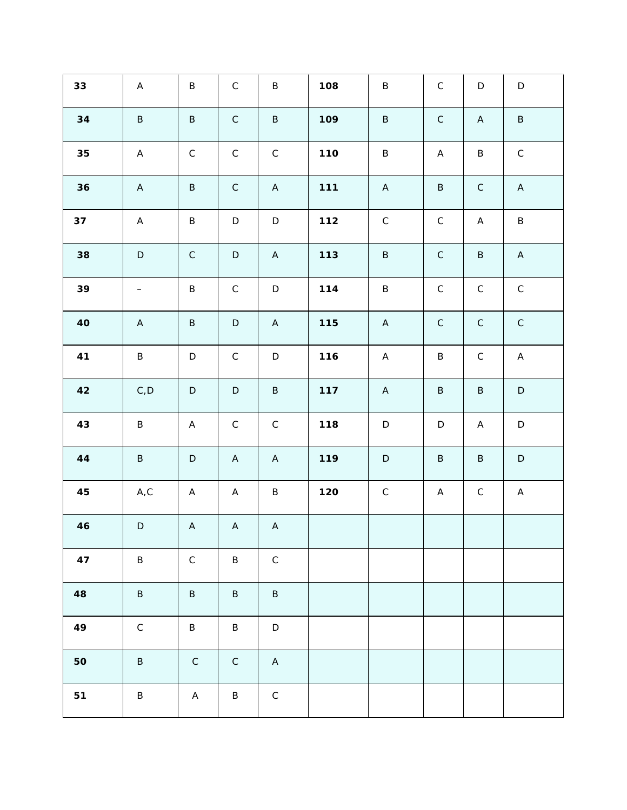| 33     | $\mathsf A$              | $\sf B$      | $\mathsf C$  | $\sf B$      | 108 | $\sf B$     | $\mathsf C$               | $\mathsf D$               | $\mathsf D$ |
|--------|--------------------------|--------------|--------------|--------------|-----|-------------|---------------------------|---------------------------|-------------|
| 34     | $\sf B$                  | $\sf B$      | $\mathsf C$  | $\sf B$      | 109 | $\sf B$     | $\mathsf C$               | $\boldsymbol{\mathsf{A}}$ | $\sf B$     |
| $35\,$ | $\mathsf A$              | $\mathsf C$  | $\mathsf C$  | $\mathsf C$  | 110 | $\sf B$     | $\boldsymbol{\mathsf{A}}$ | $\sf B$                   | $\mathsf C$ |
| 36     | $\mathsf A$              | $\sf B$      | $\mathsf C$  | $\mathsf A$  | 111 | $\mathsf A$ | $\sf B$                   | $\mathsf C$               | $\mathsf A$ |
| 37     | $\mathsf A$              | $\sf B$      | $\mathsf D$  | $\mathsf D$  | 112 | $\mathsf C$ | $\mathsf C$               | $\mathsf{A}$              | $\sf B$     |
| 38     | $\mathsf D$              | $\mathsf C$  | $\mathsf D$  | $\mathsf A$  | 113 | $\sf B$     | $\mathsf C$               | $\sf B$                   | $\mathsf A$ |
| 39     | $\overline{\phantom{a}}$ | $\sf B$      | $\mathsf C$  | $\mathsf D$  | 114 | $\sf B$     | $\mathsf C$               | $\mathsf C$               | $\mathsf C$ |
| $40$   | $\mathsf A$              | $\sf B$      | $\mathsf D$  | $\mathsf A$  | 115 | $\mathsf A$ | $\mathsf C$               | $\mathsf C$               | $\mathsf C$ |
| 41     | $\sf B$                  | $\mathsf D$  | $\mathsf C$  | $\mathsf D$  | 116 | $\mathsf A$ | $\sf B$                   | $\mathsf C$               | $\mathsf A$ |
| $42\,$ | C, D                     | $\mathsf D$  | $\mathsf D$  | $\sf B$      | 117 | $\mathsf A$ | $\sf B$                   | $\sf B$                   | $\mathsf D$ |
| 43     | $\sf B$                  | A            | $\mathsf C$  | $\mathsf C$  | 118 | $\mathsf D$ | $\mathsf D$               | A                         | $\mathsf D$ |
| $44$   | $\, {\sf B} \,$          | $\mathsf D$  | $\mathsf{A}$ | $\mathsf A$  | 119 | $\mathsf D$ | $\sf B$                   | $\sf B$                   | $\mathsf D$ |
| 45     | A, C                     | $\mathsf{A}$ | $\mathsf{A}$ | $\sf B$      | 120 | $\mathsf C$ | Α                         | $\mathsf C$               | A           |
| 46     | $\mathsf D$              | $\mathsf A$  | $\mathsf A$  | $\mathsf A$  |     |             |                           |                           |             |
| 47     | $\sf B$                  | $\mathsf C$  | $\sf B$      | $\mathsf C$  |     |             |                           |                           |             |
| 48     | $\sf B$                  | $\sf B$      | $\sf B$      | $\sf B$      |     |             |                           |                           |             |
| 49     | $\mathsf C$              | $\sf B$      | $\sf B$      | $\mathsf D$  |     |             |                           |                           |             |
| 50     | $\sf B$                  | $\mathsf C$  | $\mathsf C$  | $\mathsf{A}$ |     |             |                           |                           |             |
| 51     | $\sf B$                  | $\mathsf A$  | $\sf B$      | $\mathsf C$  |     |             |                           |                           |             |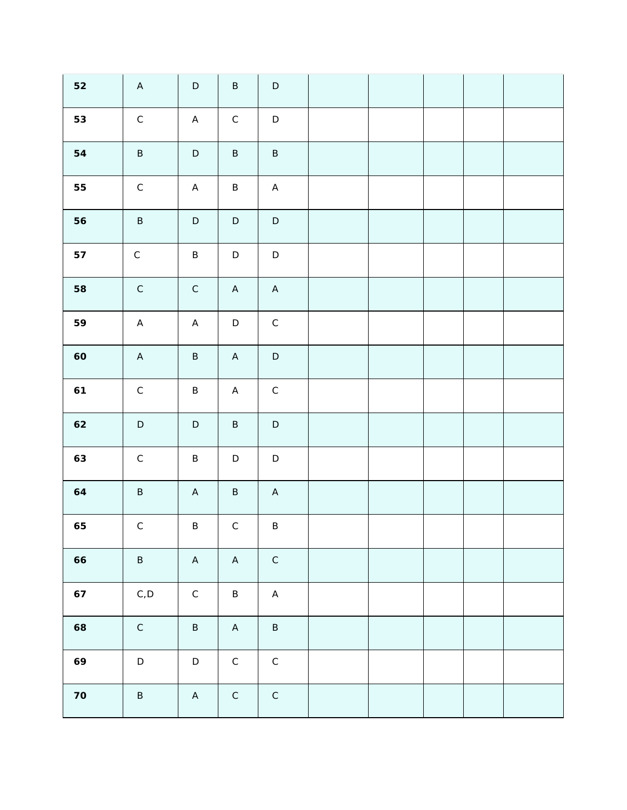| 52     | $\mathsf A$                 | $\mathsf D$ | $\sf B$      | $\mathsf D$  |  |  |  |
|--------|-----------------------------|-------------|--------------|--------------|--|--|--|
| 53     | $\mathsf C$                 | $\mathsf A$ | $\mathsf C$  | $\mathsf D$  |  |  |  |
| 54     | $\sf B$                     | $\mathsf D$ | $\sf B$      | $\sf B$      |  |  |  |
| 55     | $\mathsf C$                 | $\mathsf A$ | $\sf B$      | $\mathsf A$  |  |  |  |
| 56     | $\sf B$                     | $\mathsf D$ | $\mathsf D$  | $\mathsf D$  |  |  |  |
| 57     | $\mathsf C$                 | $\sf B$     | $\mathsf D$  | $\mathsf D$  |  |  |  |
| 58     | $\mathsf C$                 | $\mathsf C$ | $\mathsf{A}$ | $\mathsf{A}$ |  |  |  |
| 59     | $\mathsf A$                 | $\mathsf A$ | $\mathsf D$  | $\mathsf C$  |  |  |  |
| 60     | $\mathsf A$                 | $\sf B$     | $\mathsf A$  | $\mathsf D$  |  |  |  |
| 61     | $\mathsf C$                 | $\sf B$     | $\mathsf A$  | $\mathsf C$  |  |  |  |
| 62     | $\mathsf D$                 | $\mathsf D$ | $\sf B$      | $\mathsf D$  |  |  |  |
| 63     | $\mathsf C$                 | $\sf B$     | $\mathsf D$  | $\mathsf D$  |  |  |  |
| 64     | $\sf B$                     | $\mathsf A$ | $\sf B$      | $\mathsf{A}$ |  |  |  |
| 65     | $\mathsf C$                 | $\sf B$     | $\mathsf C$  | $\sf B$      |  |  |  |
| 66     | $\sf B$                     | $\mathsf A$ | $\mathsf A$  | $\mathsf C$  |  |  |  |
| 67     | $\mathsf{C}$ , $\mathsf{D}$ | $\mathsf C$ | $\sf B$      | $\mathsf A$  |  |  |  |
| 68     | $\mathsf C$                 | $\sf B$     | $\mathsf A$  | $\sf B$      |  |  |  |
| 69     | $\mathsf D$                 | $\mathsf D$ | $\mathsf C$  | $\mathsf C$  |  |  |  |
| $70\,$ | $\sf B$                     | $\mathsf A$ | $\mathsf C$  | $\mathsf C$  |  |  |  |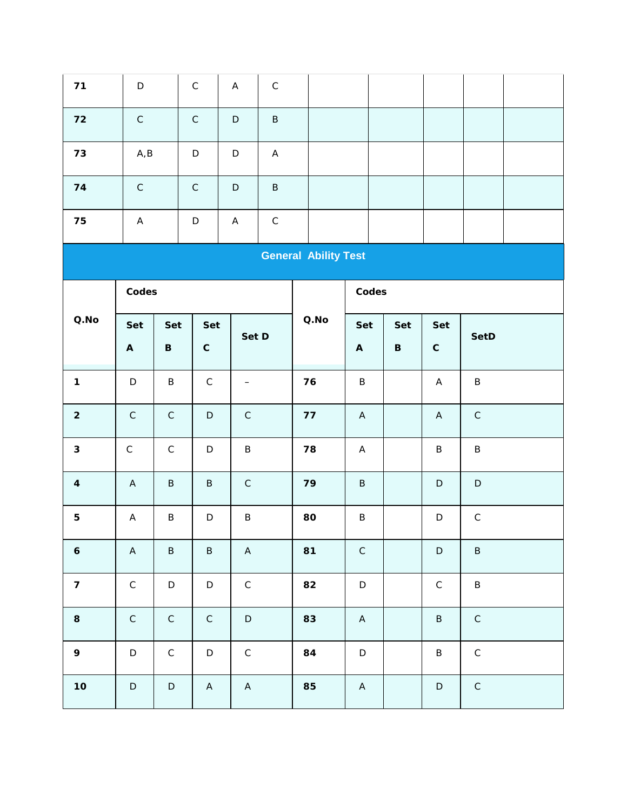| 71                          | $\mathsf D$                      |                | $\mathsf C$        | $\boldsymbol{\mathsf{A}}$ | $\mathsf C$               |                  |                                  |                |                           |             |  |  |
|-----------------------------|----------------------------------|----------------|--------------------|---------------------------|---------------------------|------------------|----------------------------------|----------------|---------------------------|-------------|--|--|
| 72                          | $\mathsf C$                      |                | $\mathsf C$        | $\mathsf D$               | $\sf B$                   |                  |                                  |                |                           |             |  |  |
| 73                          | $\mathsf{A},\mathsf{B}$          |                | $\mathsf D$        | $\mathsf D$               | $\boldsymbol{\mathsf{A}}$ |                  |                                  |                |                           |             |  |  |
| 74                          | $\mathsf C$                      |                | $\mathsf C$        | $\mathsf D$               | $\sf B$                   |                  |                                  |                |                           |             |  |  |
| 75                          | $\mathsf A$                      |                | $\mathsf D$        | $\boldsymbol{\mathsf{A}}$ | $\mathsf C$               |                  |                                  |                |                           |             |  |  |
| <b>General Ability Test</b> |                                  |                |                    |                           |                           |                  |                                  |                |                           |             |  |  |
|                             | Codes                            |                |                    |                           |                           |                  | Codes                            |                |                           |             |  |  |
| $Q. \mathsf{No}$            | Set<br>$\boldsymbol{\mathsf{A}}$ | Set<br>$\sf B$ | Set<br>$\mathsf C$ | Set D                     |                           | $Q. \mathsf{No}$ | Set<br>$\boldsymbol{\mathsf{A}}$ | Set<br>$\sf B$ | Set<br>$\mathsf C$        | SetD        |  |  |
| $\mathbf{1}$                | $\mathsf D$                      | $\sf B$        | $\mathsf C$        | $\overline{\phantom{0}}$  |                           | 76               | $\sf B$                          |                | $\mathsf A$               | $\sf B$     |  |  |
| $\overline{c}$              | $\mathsf C$                      | $\mathsf C$    | $\mathsf D$        | $\mathsf C$               |                           | 77               | $\boldsymbol{\mathsf{A}}$        |                | $\boldsymbol{\mathsf{A}}$ | $\mathsf C$ |  |  |
| $\mathfrak{S}$              | $\mathsf C$                      | $\mathsf C$    | $\mathsf D$        | $\sf B$                   |                           | 78               | $\boldsymbol{\mathsf{A}}$        |                | $\sf B$                   | $\sf B$     |  |  |
| $\overline{4}$              | $\mathsf A$                      | $\sf B$        | $\sf B$            | $\mathsf C$               |                           | 79               | $\sf B$                          |                | $\mathsf D$               | $\mathsf D$ |  |  |
| $\mathbf 5$                 | $\boldsymbol{\mathsf{A}}$        | $\sf B$        | $\mathsf D$        | $\sf B$                   |                           | 80               | $\sf B$                          |                | $\mathsf D$               | $\mathsf C$ |  |  |
| $\boldsymbol{6}$            | $\mathsf A$                      | $\sf B$        | $\sf B$            | $\mathsf A$               |                           | 81               | $\mathsf C$                      |                | $\mathsf D$               | $\sf B$     |  |  |
| $\overline{7}$              | $\mathsf C$                      | $\mathsf D$    | $\mathsf D$        | $\mathsf C$               |                           | 82               | $\mathsf D$                      |                | $\mathsf C$               | $\sf B$     |  |  |
| $\,8\,$                     | $\mathsf C$                      | $\mathsf C$    | $\mathsf C$        | $\mathsf D$               |                           | 83               | $\mathsf A$                      |                | $\sf B$                   | $\mathsf C$ |  |  |
| $\mathsf{q}$                | $\mathsf D$                      | $\mathsf C$    | $\mathsf D$        | $\mathsf C$               |                           | 84               | $\mathsf D$                      |                | $\sf B$                   | $\mathsf C$ |  |  |
| $10$                        | $\mathsf D$                      | $\mathsf D$    | $\mathsf A$        | $\mathsf A$               |                           | 85               | $\mathsf{A}$                     |                | $\mathsf D$               | $\mathsf C$ |  |  |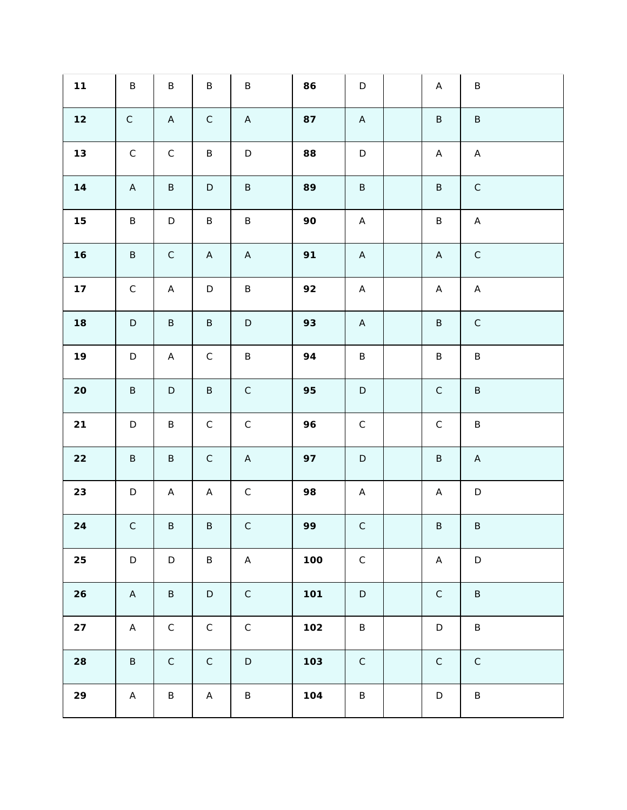| 11     | $\sf B$      | $\sf B$                   | $\sf B$      | $\sf B$     | 86  | $\mathsf D$  | $\mathsf A$  | $\sf B$                   |
|--------|--------------|---------------------------|--------------|-------------|-----|--------------|--------------|---------------------------|
| $12$   | $\mathsf C$  | $\mathsf A$               | $\mathsf C$  | $\mathsf A$ | 87  | $\mathsf{A}$ | $\sf B$      | $\sf B$                   |
| $13$   | $\mathsf C$  | $\mathsf C$               | B            | $\mathsf D$ | 88  | $\mathsf D$  | $\mathsf{A}$ | $\mathsf A$               |
| 14     | $\mathsf{A}$ | $\sf B$                   | $\mathsf D$  | $\sf B$     | 89  | $\sf B$      | $\sf B$      | $\mathsf C$               |
| 15     | $\sf B$      | $\mathsf D$               | $\sf B$      | $\sf B$     | 90  | $\mathsf{A}$ | $\sf B$      | $\boldsymbol{\mathsf{A}}$ |
| 16     | $\sf B$      | $\mathsf C$               | $\mathsf{A}$ | $\mathsf A$ | 91  | $\mathsf{A}$ | $\mathsf A$  | $\mathsf C$               |
| 17     | $\mathsf C$  | $\boldsymbol{\mathsf{A}}$ | $\mathsf D$  | $\sf B$     | 92  | $\mathsf{A}$ | $\mathsf{A}$ | $\mathsf A$               |
| 18     | $\mathsf D$  | $\sf B$                   | $\sf B$      | $\mathsf D$ | 93  | $\mathsf{A}$ | $\sf B$      | $\mathsf C$               |
| 19     | $\mathsf D$  | A                         | $\mathsf C$  | $\sf B$     | 94  | $\sf B$      | $\sf B$      | $\sf B$                   |
| $20\,$ | $\sf B$      | $\mathsf D$               | $\sf B$      | $\mathsf C$ | 95  | $\mathsf D$  | $\mathsf C$  | $\sf B$                   |
| 21     | $\mathsf D$  | $\sf B$                   | $\mathsf C$  | $\mathsf C$ | 96  | $\mathsf C$  | $\mathsf C$  | $\sf B$                   |
| 22     | $\sf B$      | $\sf B$                   | $\mathsf C$  | $\mathsf A$ | 97  | $\mathsf D$  | $\sf B$      | $\mathsf{A}$              |
| 23     | $\mathsf D$  | A                         | $\mathsf{A}$ | $\mathsf C$ | 98  | $\mathsf{A}$ | Α            | $\mathsf D$               |
| 24     | $\mathsf C$  | $\sf B$                   | $\sf B$      | $\mathsf C$ | 99  | $\mathsf C$  | $\sf B$      | $\sf B$                   |
| 25     | $\mathsf D$  | $\mathsf D$               | $\sf B$      | $\mathsf A$ | 100 | $\mathsf C$  | $\mathsf{A}$ | $\mathsf D$               |
| 26     | $\mathsf{A}$ | $\sf B$                   | $\mathsf D$  | $\mathsf C$ | 101 | $\mathsf D$  | $\mathsf C$  | $\sf B$                   |
| 27     | $\mathsf A$  | $\mathsf C$               | $\mathsf C$  | $\mathsf C$ | 102 | $\sf B$      | $\mathsf D$  | $\sf B$                   |
| 28     | $\sf B$      | $\mathsf C$               | $\mathsf C$  | $\mathsf D$ | 103 | $\mathsf C$  | $\mathsf C$  | $\mathsf C$               |
| 29     | $\mathsf{A}$ | $\sf B$                   | $\mathsf{A}$ | $\sf B$     | 104 | $\sf B$      | $\mathsf D$  | $\sf B$                   |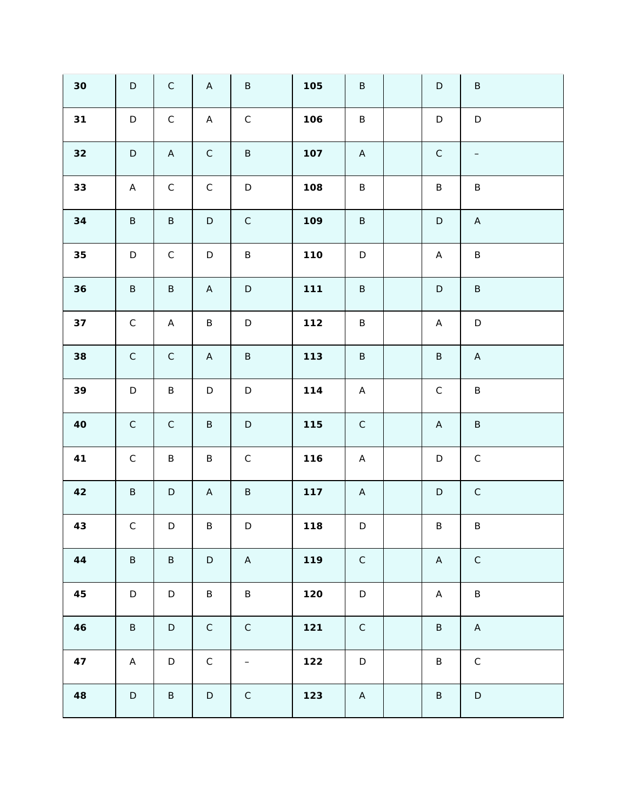| 30   | $\mathsf D$  | $\mathsf C$ | $\mathsf A$  | $\sf B$           | 105 | $\sf B$      | $\mathsf D$               | $\sf B$                   |
|------|--------------|-------------|--------------|-------------------|-----|--------------|---------------------------|---------------------------|
| 31   | $\mathsf D$  | $\mathsf C$ | $\mathsf{A}$ | $\mathsf C$       | 106 | $\sf B$      | $\mathsf D$               | $\mathsf D$               |
| 32   | $\mathsf D$  | $\mathsf A$ | $\mathsf C$  | $\sf B$           | 107 | $\mathsf{A}$ | $\mathsf C$               | $\qquad \qquad -$         |
| 33   | $\mathsf{A}$ | $\mathsf C$ | $\mathsf C$  | $\mathsf D$       | 108 | $\sf B$      | $\sf B$                   | $\sf B$                   |
| 34   | $\sf B$      | $\sf B$     | $\mathsf D$  | $\mathsf C$       | 109 | $\sf B$      | $\mathsf D$               | $\mathsf A$               |
| 35   | $\mathsf D$  | $\mathsf C$ | $\mathsf D$  | $\sf B$           | 110 | $\mathsf D$  | $\boldsymbol{\mathsf{A}}$ | $\sf B$                   |
| 36   | $\sf B$      | $\sf B$     | $\mathsf{A}$ | $\mathsf D$       | 111 | $\sf B$      | $\mathsf D$               | $\sf B$                   |
| 37   | $\mathsf C$  | $\mathsf A$ | B            | $\mathsf D$       | 112 | $\sf B$      | $\mathsf{A}$              | $\mathsf D$               |
| 38   | $\mathsf C$  | $\mathsf C$ | $\mathsf{A}$ | $\sf B$           | 113 | $\sf B$      | $\sf B$                   | $\boldsymbol{\mathsf{A}}$ |
| 39   | $\mathsf D$  | $\sf B$     | $\mathsf D$  | $\mathsf D$       | 114 | $\mathsf{A}$ | $\mathsf C$               | $\sf B$                   |
| $40$ | $\mathsf C$  | $\mathsf C$ | $\sf B$      | $\mathsf D$       | 115 | $\mathsf C$  | $\boldsymbol{\mathsf{A}}$ | $\sf B$                   |
| 41   | $\mathsf C$  | $\sf B$     | $\sf B$      | $\mathsf C$       | 116 | $\mathsf{A}$ | $\mathsf D$               | $\mathsf C$               |
| 42   | $\sf B$      | $\mathsf D$ | $\mathsf{A}$ | $\sf B$           | 117 | $\mathsf{A}$ | $\mathsf D$               | $\mathsf C$               |
| 43   | $\mathsf C$  | $\mathsf D$ | $\sf B$      | $\mathsf D$       | 118 | $\mathsf D$  | $\sf B$                   | $\sf B$                   |
| 44   | $\sf B$      | $\sf B$     | $\mathsf D$  | $\mathsf A$       | 119 | $\mathsf C$  | $\mathsf{A}$              | $\mathsf C$               |
| 45   | $\mathsf D$  | $\mathsf D$ | $\sf B$      | $\sf B$           | 120 | $\mathsf D$  | $\boldsymbol{\mathsf{A}}$ | $\sf B$                   |
| 46   | $\sf B$      | $\mathsf D$ | $\mathsf C$  | $\mathsf C$       | 121 | $\mathsf C$  | $\sf B$                   | $\mathsf A$               |
| 47   | $\mathsf A$  | $\mathsf D$ | $\mathsf C$  | $\qquad \qquad -$ | 122 | $\mathsf D$  | $\sf B$                   | $\mathsf C$               |
| 48   | $\mathsf D$  | $\sf B$     | $\mathsf D$  | ${\bf C}$         | 123 | $\mathsf{A}$ | $\sf B$                   | $\mathsf D$               |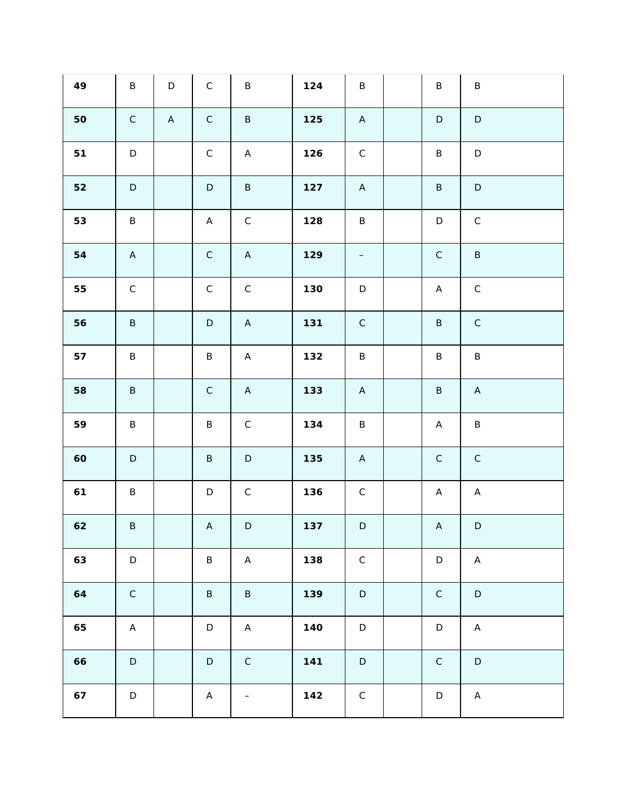| 49 | $\sf B$     | $\mathsf D$ | $\mathsf C$  | $\sf B$           | 124 | $\sf B$                  | $\sf B$     | $\sf B$                   |
|----|-------------|-------------|--------------|-------------------|-----|--------------------------|-------------|---------------------------|
| 50 | $\mathsf C$ | $\mathsf A$ | $\mathsf C$  | $\sf B$           | 125 | $\overline{A}$           | $\mathsf D$ | $\mathsf D$               |
| 51 | $\mathsf D$ |             | $\mathsf C$  | $\mathsf A$       | 126 | $\mathsf C$              | $\sf B$     | $\mathsf D$               |
| 52 | $\mathsf D$ |             | $\mathsf D$  | $\sf B$           | 127 | $\mathsf A$              | $\sf B$     | $\mathsf D$               |
| 53 | $\sf B$     |             | $\mathsf{A}$ | $\mathsf C$       | 128 | $\sf B$                  | $\mathsf D$ | $\mathsf C$               |
| 54 | $\mathsf A$ |             | $\mathsf C$  | $\mathsf A$       | 129 | $\overline{\phantom{m}}$ | $\mathsf C$ | $\sf B$                   |
| 55 | $\mathsf C$ |             | $\mathsf C$  | $\mathsf C$       | 130 | $\mathsf D$              | $\mathsf A$ | $\mathsf C$               |
| 56 | $\sf B$     |             | $\mathsf D$  | $\mathsf A$       | 131 | $\mathsf C$              | $\sf B$     | $\mathsf C$               |
| 57 | $\sf B$     |             | $\sf B$      | $\mathsf A$       | 132 | $\sf B$                  | $\sf B$     | $\sf B$                   |
| 58 | $\sf B$     |             | $\mathsf C$  | $\mathsf A$       | 133 | $\overline{A}$           | $\sf B$     | $\mathsf A$               |
| 59 | $\sf B$     |             | $\sf B$      | $\mathsf C$       | 134 | $\sf B$                  | A           | $\sf B$                   |
| 60 | $\mathsf D$ |             | $\sf B$      | $\mathsf D$       | 135 | $\mathsf{A}$             | $\mathsf C$ | $\mathsf C$               |
| 61 | $\sf B$     |             | $\mathsf D$  | $\mathsf C$       | 136 | $\mathsf C$              | A           | $\mathsf{A}$              |
| 62 | $\sf B$     |             | $\mathsf A$  | $\mathsf D$       | 137 | $\mathsf D$              | $\mathsf A$ | $\mathsf D$               |
| 63 | $\mathsf D$ |             | $\sf B$      | $\mathsf A$       | 138 | $\mathsf C$              | $\mathsf D$ | $\boldsymbol{\mathsf{A}}$ |
| 64 | $\mathsf C$ |             | $\sf B$      | $\sf B$           | 139 | $\mathsf D$              | $\mathsf C$ | $\mathsf D$               |
| 65 | $\mathsf A$ |             | $\mathsf D$  | $\mathsf A$       | 140 | $\mathsf D$              | $\mathsf D$ | $\mathsf A$               |
| 66 | $\mathsf D$ |             | $\mathsf D$  | $\mathsf C$       | 141 | $\mathsf D$              | $\mathsf C$ | $\mathsf D$               |
| 67 | $\mathsf D$ |             | $\mathsf A$  | $\qquad \qquad -$ | 142 | $\mathsf C$              | $\mathsf D$ | $\mathsf A$               |